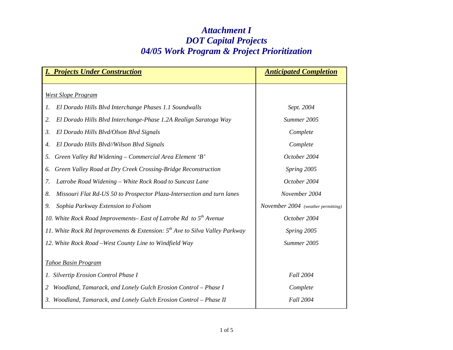## *Attachment I DOT Capital Projects 04/05 Work Program & Project Prioritization*

| <b>I. Projects Under Construction</b>                                                   | <b>Anticipated Completion</b>      |
|-----------------------------------------------------------------------------------------|------------------------------------|
|                                                                                         |                                    |
| <b>West Slope Program</b>                                                               |                                    |
| El Dorado Hills Blvd Interchange Phases 1.1 Soundwalls<br>1.                            | Sept. 2004                         |
| El Dorado Hills Blvd Interchange-Phase 1.2A Realign Saratoga Way<br>2.                  | Summer 2005                        |
| El Dorado Hills Blvd/Olson Blvd Signals<br>3.                                           | Complete                           |
| El Dorado Hills Blvd//Wilson Blvd Signals<br>4.                                         | Complete                           |
| Green Valley Rd Widening – Commercial Area Element 'B'<br>5.                            | October 2004                       |
| Green Valley Road at Dry Creek Crossing-Bridge Reconstruction<br>6.                     | Spring 2005                        |
| Latrobe Road Widening - White Rock Road to Suncast Lane<br>7.                           | October 2004                       |
| Missouri Flat Rd-US 50 to Prospector Plaza-Intersection and turn lanes<br>8.            | November 2004                      |
| Sophia Parkway Extension to Folsom<br>9.                                                | November 2004 (weather permitting) |
| 10. White Rock Road Improvements– East of Latrobe Rd to $5th$ Avenue                    | October 2004                       |
| 11. White Rock Rd Improvements & Extension: 5 <sup>th</sup> Ave to Silva Valley Parkway | Spring 2005                        |
| 12. White Rock Road -West County Line to Windfield Way                                  | Summer 2005                        |
|                                                                                         |                                    |
| <b>Tahoe Basin Program</b>                                                              |                                    |
| 1. Silvertip Erosion Control Phase I                                                    | <b>Fall 2004</b>                   |
| Woodland, Tamarack, and Lonely Gulch Erosion Control - Phase I<br>2                     | Complete                           |
| 3. Woodland, Tamarack, and Lonely Gulch Erosion Control - Phase II                      | Fall 2004                          |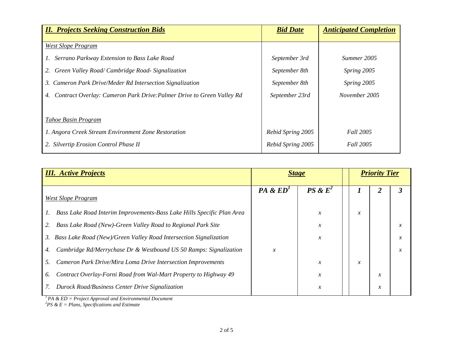| <b>II. Projects Seeking Construction Bids</b>                               | <b>Bid Date</b>   | <b>Anticipated Completion</b> |
|-----------------------------------------------------------------------------|-------------------|-------------------------------|
| <b>West Slope Program</b>                                                   |                   |                               |
| Serrano Parkway Extension to Bass Lake Road                                 | September 3rd     | Summer 2005                   |
| Green Valley Road/ Cambridge Road- Signalization                            | September 8th     | Spring 2005                   |
| 3. Cameron Park Drive/Meder Rd Intersection Signalization                   | September 8th     | Spring 2005                   |
| Contract Overlay: Cameron Park Drive: Palmer Drive to Green Valley Rd<br>4. | September 23rd    | November 2005                 |
|                                                                             |                   |                               |
| Tahoe Basin Program                                                         |                   |                               |
| 1. Angora Creek Stream Environment Zone Restoration                         | Rebid Spring 2005 | <b>Fall 2005</b>              |
| 2. Silvertip Erosion Control Phase II                                       | Rebid Spring 2005 | <b>Fall 2005</b>              |

| <b>III.</b> Active Projects                                             | <b>Stage</b>  |                            | <b>Priority Tier</b>       |               |               |
|-------------------------------------------------------------------------|---------------|----------------------------|----------------------------|---------------|---------------|
| <b>West Slope Program</b>                                               | $PA \& ED'$   | $PS \& E^2$                |                            |               | 3             |
| Bass Lake Road Interim Improvements-Bass Lake Hills Specific Plan Area  |               | $\boldsymbol{\mathcal{X}}$ | $\mathcal{X}$              |               |               |
| Bass Lake Road (New)-Green Valley Road to Regional Park Site            |               | $\boldsymbol{\mathcal{X}}$ |                            |               | $\mathcal{X}$ |
| Bass Lake Road (New)/Green Valley Road Intersection Signalization<br>3. |               | $\boldsymbol{\mathcal{X}}$ |                            |               | $\mathcal{X}$ |
| Cambridge Rd/Merrychase Dr & Westbound US 50 Ramps: Signalization<br>4. | $\mathcal{X}$ |                            |                            |               | $\mathcal{X}$ |
| Cameron Park Drive/Mira Loma Drive Intersection Improvements<br>5.      |               | $\boldsymbol{\mathcal{X}}$ | $\boldsymbol{\mathcal{X}}$ |               |               |
| Contract Overlay-Forni Road from Wal-Mart Property to Highway 49<br>6.  |               | $\boldsymbol{\mathcal{X}}$ |                            | $\mathcal{X}$ |               |
| Durock Road/Business Center Drive Signalization                         |               | $\mathcal{X}$              |                            | $\mathcal{X}$ |               |

*2PS & E = Plans, Specifications and Estimate*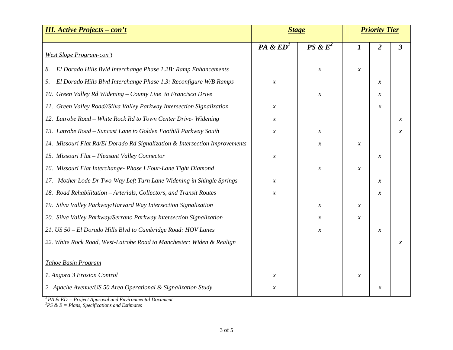| <b>III. Active Projects - con't</b>                                         | <b>Stage</b>               |                            |                            | <b>Priority Tier</b> |                      |
|-----------------------------------------------------------------------------|----------------------------|----------------------------|----------------------------|----------------------|----------------------|
|                                                                             | $PA \& ED'$                | $PS \& E^2$                | $\boldsymbol{l}$           | $\overline{2}$       | $\boldsymbol{\beta}$ |
| West Slope Program-con't                                                    |                            |                            |                            |                      |                      |
| El Dorado Hills Byld Interchange Phase 1.2B: Ramp Enhancements<br>8.        |                            | $\boldsymbol{\mathcal{X}}$ | $\boldsymbol{\mathcal{X}}$ |                      |                      |
| El Dorado Hills Blvd Interchange Phase 1.3: Reconfigure W/B Ramps<br>9.     | $\boldsymbol{\mathcal{X}}$ |                            |                            | $\mathcal{X}$        |                      |
| 10. Green Valley Rd Widening – County Line to Francisco Drive               |                            | $\boldsymbol{\mathcal{X}}$ |                            | $\mathcal{X}$        |                      |
| 11. Green Valley Road//Silva Valley Parkway Intersection Signalization      | $\mathcal{X}$              |                            |                            | $\mathcal{X}$        |                      |
| 12. Latrobe Road - White Rock Rd to Town Center Drive- Widening             | $\mathcal{X}$              |                            |                            |                      | $\mathcal{X}$        |
| 13. Latrobe Road - Suncast Lane to Golden Foothill Parkway South            | $\boldsymbol{\chi}$        | $\boldsymbol{x}$           |                            |                      | $\mathcal{X}$        |
| 14. Missouri Flat Rd/El Dorado Rd Signalization & Intersection Improvements |                            | $\mathcal{X}$              | $\boldsymbol{\mathcal{X}}$ |                      |                      |
| 15. Missouri Flat - Pleasant Valley Connector                               | $\boldsymbol{\mathcal{X}}$ |                            |                            | $\mathcal{X}$        |                      |
| 16. Missouri Flat Interchange- Phase I Four-Lane Tight Diamond              |                            | $\mathcal{X}$              | $\boldsymbol{\mathcal{X}}$ |                      |                      |
| 17. Mother Lode Dr Two-Way Left Turn Lane Widening in Shingle Springs       | $\mathcal{X}$              |                            |                            | $\mathcal{X}$        |                      |
| 18. Road Rehabilitation - Arterials, Collectors, and Transit Routes         | $\boldsymbol{\mathcal{X}}$ |                            |                            | $\mathcal{X}$        |                      |
| 19. Silva Valley Parkway/Harvard Way Intersection Signalization             |                            | $\mathcal{X}$              | $\boldsymbol{x}$           |                      |                      |
| 20. Silva Valley Parkway/Serrano Parkway Intersection Signalization         |                            | $\mathcal{X}$              | $\boldsymbol{\mathcal{X}}$ |                      |                      |
| 21. US 50 - El Dorado Hills Blvd to Cambridge Road: HOV Lanes               |                            | $\boldsymbol{\mathcal{X}}$ |                            | $\mathcal{X}$        |                      |
| 22. White Rock Road, West-Latrobe Road to Manchester: Widen & Realign       |                            |                            |                            |                      | $\mathcal{X}$        |
|                                                                             |                            |                            |                            |                      |                      |
| Tahoe Basin Program                                                         |                            |                            |                            |                      |                      |
| 1. Angora 3 Erosion Control                                                 | $\boldsymbol{x}$           |                            | $\boldsymbol{x}$           |                      |                      |
| 2. Apache Avenue/US 50 Area Operational & Signalization Study               | $\mathcal{X}$              |                            |                            | $\mathcal{X}$        |                      |

*2PS & E = Plans, Specifications and Estimates*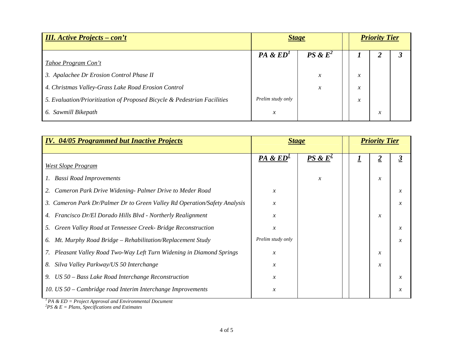| <b>III.</b> Active Projects – con't                                      | <b>Stage</b>      |                            |  |               |                            | <b>Priority Tier</b> |  |  |
|--------------------------------------------------------------------------|-------------------|----------------------------|--|---------------|----------------------------|----------------------|--|--|
| Tahoe Program Con't                                                      | $PA \& ED'$       | $PS \& E^2$                |  |               |                            |                      |  |  |
| 3. Apalachee Dr Erosion Control Phase II                                 |                   | $\boldsymbol{x}$           |  | $\mathcal{X}$ |                            |                      |  |  |
| 4. Christmas Valley-Grass Lake Road Erosion Control                      |                   | $\boldsymbol{\mathcal{X}}$ |  | $\mathcal{X}$ |                            |                      |  |  |
| 5. Evaluation/Prioritization of Proposed Bicycle & Pedestrian Facilities | Prelim study only |                            |  | $\mathcal{X}$ |                            |                      |  |  |
| 6. Sawmill Bikepath                                                      | $\mathcal{X}$     |                            |  |               | $\boldsymbol{\mathcal{X}}$ |                      |  |  |

| <b>IV. 04/05 Programmed but Inactive Projects</b>                         | <b>Stage</b>         |                            | <b>Priority Tier</b> |               |
|---------------------------------------------------------------------------|----------------------|----------------------------|----------------------|---------------|
|                                                                           | PA & ED <sup>1</sup> | $PS \& E^2$                |                      | 3             |
| <b>West Slope Program</b>                                                 |                      |                            |                      |               |
| <b>Bassi Road Improvements</b><br>Ι.                                      |                      | $\boldsymbol{\mathcal{X}}$ | $\mathcal{X}$        |               |
| Cameron Park Drive Widening- Palmer Drive to Meder Road                   | $\mathcal{X}$        |                            |                      | $\mathcal{X}$ |
| 3. Cameron Park Dr/Palmer Dr to Green Valley Rd Operation/Safety Analysis | $\mathcal{X}$        |                            |                      | $\mathcal{X}$ |
| Francisco Dr/El Dorado Hills Blvd - Northerly Realignment<br>4.           | $\mathcal{X}$        |                            | $\mathcal{X}$        |               |
| Green Valley Road at Tennessee Creek- Bridge Reconstruction<br>5.         | $\mathcal{X}$        |                            |                      | $\mathcal{X}$ |
| Mt. Murphy Road Bridge - Rehabilitation/Replacement Study<br>6.           | Prelim study only    |                            |                      | $\mathcal{X}$ |
| Pleasant Valley Road Two-Way Left Turn Widening in Diamond Springs        | $\mathcal{X}$        |                            | $\mathcal{X}$        |               |
| Silva Valley Parkway/US 50 Interchange<br>8.                              | $\mathcal{X}$        |                            | $\mathcal{X}$        |               |
| $US$ 50 – Bass Lake Road Interchange Reconstruction<br>9.                 | $\mathcal{X}$        |                            |                      | $\mathcal{X}$ |
| 10. US $50$ – Cambridge road Interim Interchange Improvements             | $\mathcal{X}$        |                            |                      | $\mathcal{X}$ |

*2PS & E = Plans, Specifications and Estimates*